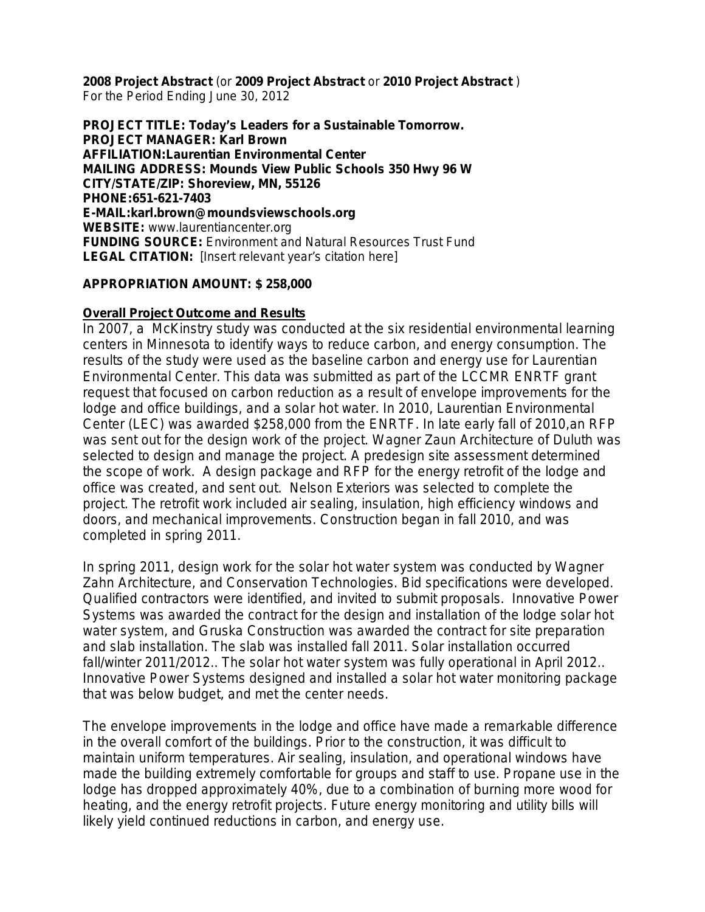**2008 Project Abstract** (or **2009 Project Abstract** or **2010 Project Abstract** ) For the Period Ending June 30, 2012

**PROJECT TITLE: Today's Leaders for a Sustainable Tomorrow. PROJECT MANAGER: Karl Brown AFFILIATION:Laurentian Environmental Center MAILING ADDRESS: Mounds View Public Schools 350 Hwy 96 W CITY/STATE/ZIP: Shoreview, MN, 55126 PHONE:651-621-7403 E-MAIL:karl.brown@moundsviewschools.org WEBSITE:** www.laurentiancenter.org **FUNDING SOURCE:** Environment and Natural Resources Trust Fund **LEGAL CITATION:** [Insert relevant year's citation here]

### **APPROPRIATION AMOUNT: \$ 258,000**

### **Overall Project Outcome and Results**

In 2007, a McKinstry study was conducted at the six residential environmental learning centers in Minnesota to identify ways to reduce carbon, and energy consumption. The results of the study were used as the baseline carbon and energy use for Laurentian Environmental Center. This data was submitted as part of the LCCMR ENRTF grant request that focused on carbon reduction as a result of envelope improvements for the lodge and office buildings, and a solar hot water. In 2010, Laurentian Environmental Center (LEC) was awarded \$258,000 from the ENRTF. In late early fall of 2010,an RFP was sent out for the design work of the project. Wagner Zaun Architecture of Duluth was selected to design and manage the project. A predesign site assessment determined the scope of work. A design package and RFP for the energy retrofit of the lodge and office was created, and sent out. Nelson Exteriors was selected to complete the project. The retrofit work included air sealing, insulation, high efficiency windows and doors, and mechanical improvements. Construction began in fall 2010, and was completed in spring 2011.

In spring 2011, design work for the solar hot water system was conducted by Wagner Zahn Architecture, and Conservation Technologies. Bid specifications were developed. Qualified contractors were identified, and invited to submit proposals. Innovative Power Systems was awarded the contract for the design and installation of the lodge solar hot water system, and Gruska Construction was awarded the contract for site preparation and slab installation. The slab was installed fall 2011. Solar installation occurred fall/winter 2011/2012.. The solar hot water system was fully operational in April 2012.. Innovative Power Systems designed and installed a solar hot water monitoring package that was below budget, and met the center needs.

The envelope improvements in the lodge and office have made a remarkable difference in the overall comfort of the buildings. Prior to the construction, it was difficult to maintain uniform temperatures. Air sealing, insulation, and operational windows have made the building extremely comfortable for groups and staff to use. Propane use in the lodge has dropped approximately 40%, due to a combination of burning more wood for heating, and the energy retrofit projects. Future energy monitoring and utility bills will likely yield continued reductions in carbon, and energy use.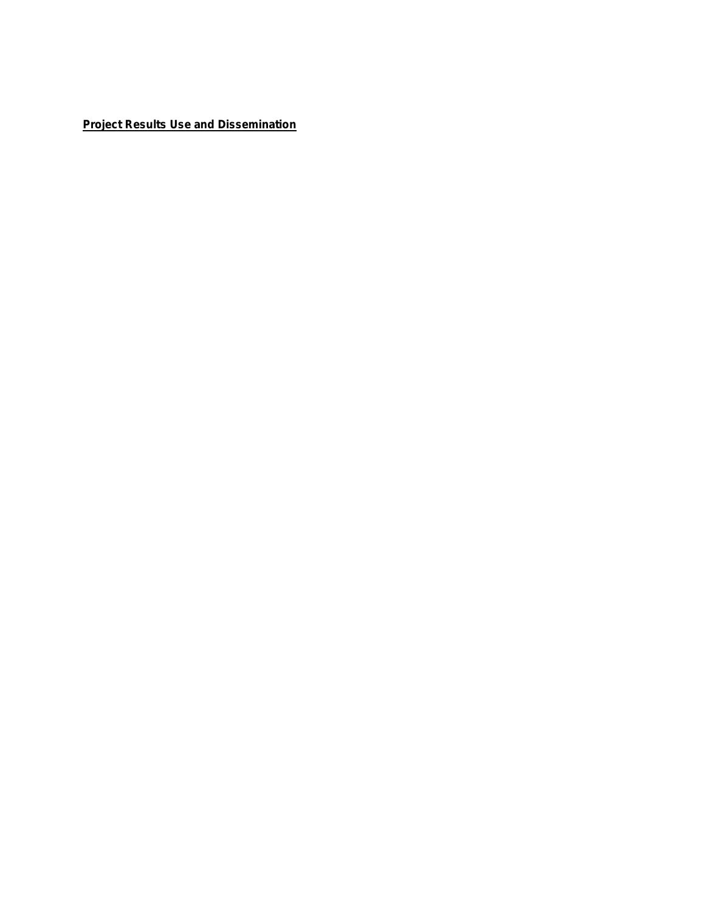**Project Results Use and Dissemination**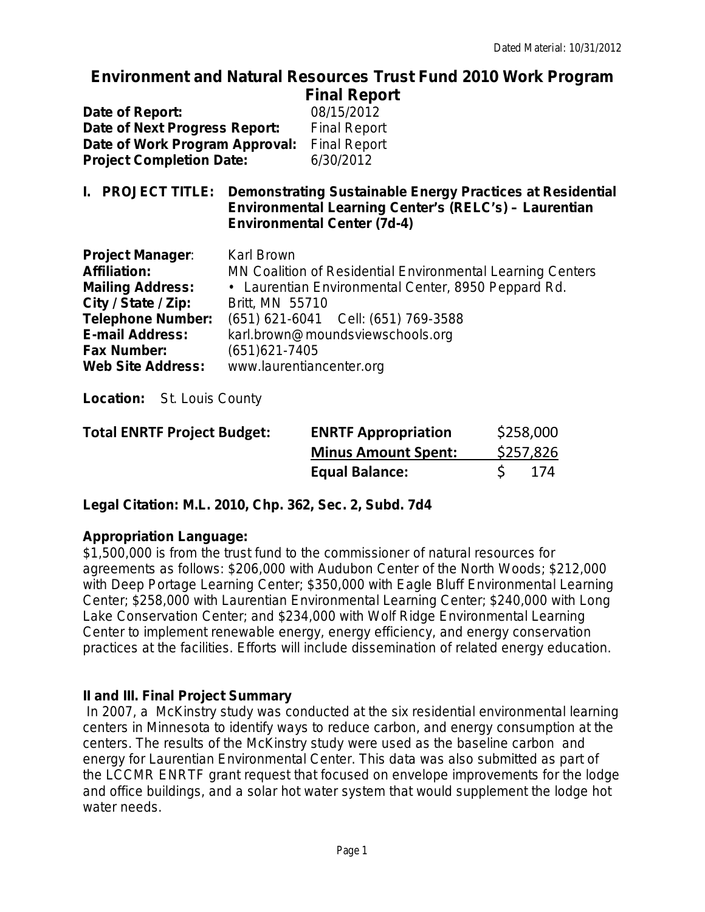### **Environment and Natural Resources Trust Fund 2010 Work Program Final Report**

|                                 | $\blacksquare$      |
|---------------------------------|---------------------|
| Date of Report:                 | 08/15/2012          |
| Date of Next Progress Report:   | <b>Final Report</b> |
| Date of Work Program Approval:  | <b>Final Report</b> |
| <b>Project Completion Date:</b> | 6/30/2012           |
|                                 |                     |

**I. PROJECT TITLE: Demonstrating Sustainable Energy Practices at Residential Environmental Learning Center's (RELC's) – Laurentian Environmental Center (7d-4)**

| <b>Project Manager:</b>  | <b>Karl Brown</b>                                          |
|--------------------------|------------------------------------------------------------|
| <b>Affiliation:</b>      | MN Coalition of Residential Environmental Learning Centers |
| <b>Mailing Address:</b>  | • Laurentian Environmental Center, 8950 Peppard Rd.        |
| City / State / Zip:      | Britt, MN 55710                                            |
| <b>Telephone Number:</b> | (651) 621-6041 Cell: (651) 769-3588                        |
| <b>E-mail Address:</b>   | karl.brown@moundsviewschools.org                           |
| <b>Fax Number:</b>       | $(651)621 - 7405$                                          |
| <b>Web Site Address:</b> | www.laurentiancenter.org                                   |

**Location:**St. Louis County

| <b>Total ENRTF Project Budget:</b> | <b>ENRTF Appropriation</b> | \$258,000 |
|------------------------------------|----------------------------|-----------|
|                                    | <b>Minus Amount Spent:</b> | \$257,826 |
|                                    | <b>Equal Balance:</b>      | -174      |

**Legal Citation: M.L. 2010, Chp. 362, Sec. 2, Subd. 7d4**

# **Appropriation Language:**

\$1,500,000 is from the trust fund to the commissioner of natural resources for agreements as follows: \$206,000 with Audubon Center of the North Woods; \$212,000 with Deep Portage Learning Center; \$350,000 with Eagle Bluff Environmental Learning Center; \$258,000 with Laurentian Environmental Learning Center; \$240,000 with Long Lake Conservation Center; and \$234,000 with Wolf Ridge Environmental Learning Center to implement renewable energy, energy efficiency, and energy conservation practices at the facilities. Efforts will include dissemination of related energy education.

# **II and III. Final Project Summary**

In 2007, a McKinstry study was conducted at the six residential environmental learning centers in Minnesota to identify ways to reduce carbon, and energy consumption at the centers. The results of the McKinstry study were used as the baseline carbon and energy for Laurentian Environmental Center. This data was also submitted as part of the LCCMR ENRTF grant request that focused on envelope improvements for the lodge and office buildings, and a solar hot water system that would supplement the lodge hot water needs.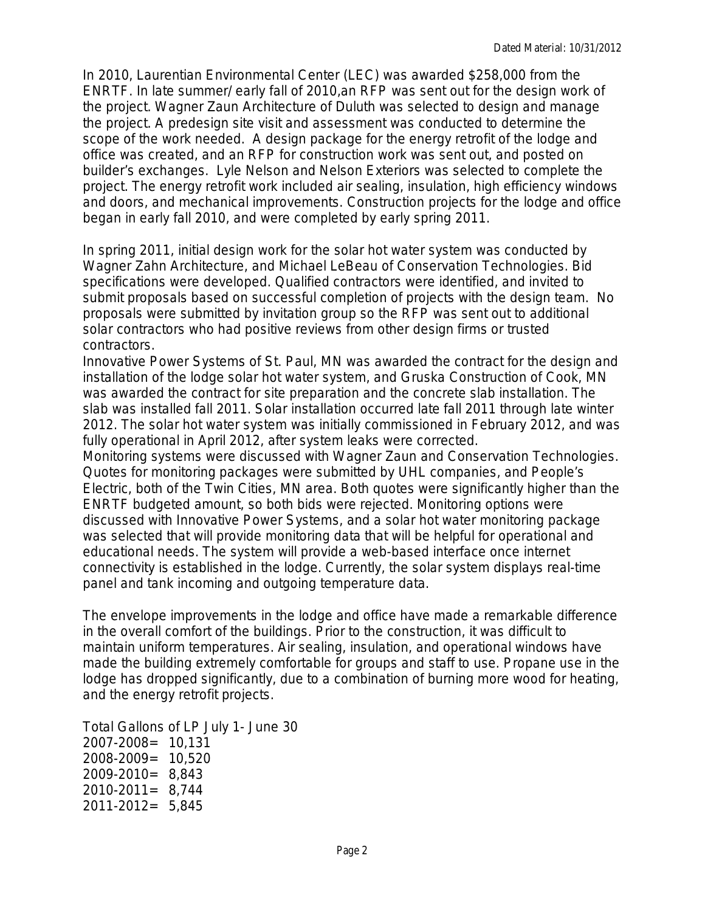In 2010, Laurentian Environmental Center (LEC) was awarded \$258,000 from the ENRTF. In late summer/ early fall of 2010,an RFP was sent out for the design work of the project. Wagner Zaun Architecture of Duluth was selected to design and manage the project. A predesign site visit and assessment was conducted to determine the scope of the work needed. A design package for the energy retrofit of the lodge and office was created, and an RFP for construction work was sent out, and posted on builder's exchanges. Lyle Nelson and Nelson Exteriors was selected to complete the project. The energy retrofit work included air sealing, insulation, high efficiency windows and doors, and mechanical improvements. Construction projects for the lodge and office began in early fall 2010, and were completed by early spring 2011.

In spring 2011, initial design work for the solar hot water system was conducted by Wagner Zahn Architecture, and Michael LeBeau of Conservation Technologies. Bid specifications were developed. Qualified contractors were identified, and invited to submit proposals based on successful completion of projects with the design team. No proposals were submitted by invitation group so the RFP was sent out to additional solar contractors who had positive reviews from other design firms or trusted contractors.

Innovative Power Systems of St. Paul, MN was awarded the contract for the design and installation of the lodge solar hot water system, and Gruska Construction of Cook, MN was awarded the contract for site preparation and the concrete slab installation. The slab was installed fall 2011. Solar installation occurred late fall 2011 through late winter 2012. The solar hot water system was initially commissioned in February 2012, and was fully operational in April 2012, after system leaks were corrected.

Monitoring systems were discussed with Wagner Zaun and Conservation Technologies. Quotes for monitoring packages were submitted by UHL companies, and People's Electric, both of the Twin Cities, MN area. Both quotes were significantly higher than the ENRTF budgeted amount, so both bids were rejected. Monitoring options were discussed with Innovative Power Systems, and a solar hot water monitoring package was selected that will provide monitoring data that will be helpful for operational and educational needs. The system will provide a web-based interface once internet connectivity is established in the lodge. Currently, the solar system displays real-time panel and tank incoming and outgoing temperature data.

The envelope improvements in the lodge and office have made a remarkable difference in the overall comfort of the buildings. Prior to the construction, it was difficult to maintain uniform temperatures. Air sealing, insulation, and operational windows have made the building extremely comfortable for groups and staff to use. Propane use in the lodge has dropped significantly, due to a combination of burning more wood for heating, and the energy retrofit projects.

Total Gallons of LP July 1- June 30 2007-2008= 10,131 2008-2009= 10,520 2009-2010= 8,843 2010-2011= 8,744 2011-2012= 5,845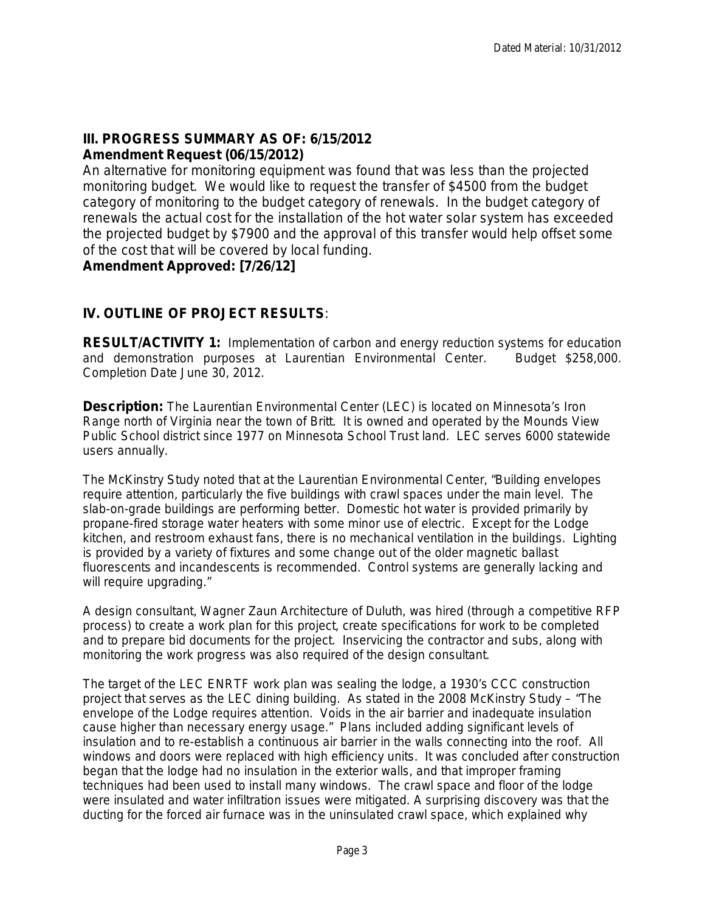# **III. PROGRESS SUMMARY AS OF: 6/15/2012**

### **Amendment Request (06/15/2012)**

An alternative for monitoring equipment was found that was less than the projected monitoring budget. We would like to request the transfer of \$4500 from the budget category of monitoring to the budget category of renewals. In the budget category of renewals the actual cost for the installation of the hot water solar system has exceeded the projected budget by \$7900 and the approval of this transfer would help offset some of the cost that will be covered by local funding.

### **Amendment Approved: [7/26/12]**

## **IV. OUTLINE OF PROJECT RESULTS***:*

**RESULT/ACTIVITY 1:** Implementation of carbon and energy reduction systems for education and demonstration purposes at Laurentian Environmental Center. Budget \$258,000. Completion Date June 30, 2012.

**Description:** The Laurentian Environmental Center (LEC) is located on Minnesota's Iron Range north of Virginia near the town of Britt. It is owned and operated by the Mounds View Public School district since 1977 on Minnesota School Trust land. LEC serves 6000 statewide users annually.

The McKinstry Study noted that at the Laurentian Environmental Center, "Building envelopes require attention, particularly the five buildings with crawl spaces under the main level. The slab-on-grade buildings are performing better. Domestic hot water is provided primarily by propane-fired storage water heaters with some minor use of electric. Except for the Lodge kitchen, and restroom exhaust fans, there is no mechanical ventilation in the buildings. Lighting is provided by a variety of fixtures and some change out of the older magnetic ballast fluorescents and incandescents is recommended. Control systems are generally lacking and will require upgrading."

A design consultant, Wagner Zaun Architecture of Duluth, was hired (through a competitive RFP process) to create a work plan for this project, create specifications for work to be completed and to prepare bid documents for the project. Inservicing the contractor and subs, along with monitoring the work progress was also required of the design consultant.

The target of the LEC ENRTF work plan was sealing the lodge, a 1930's CCC construction project that serves as the LEC dining building. As stated in the 2008 McKinstry Study – "The envelope of the Lodge requires attention. Voids in the air barrier and inadequate insulation cause higher than necessary energy usage." Plans included adding significant levels of insulation and to re-establish a continuous air barrier in the walls connecting into the roof. All windows and doors were replaced with high efficiency units. It was concluded after construction began that the lodge had no insulation in the exterior walls, and that improper framing techniques had been used to install many windows. The crawl space and floor of the lodge were insulated and water infiltration issues were mitigated. A surprising discovery was that the ducting for the forced air furnace was in the uninsulated crawl space, which explained why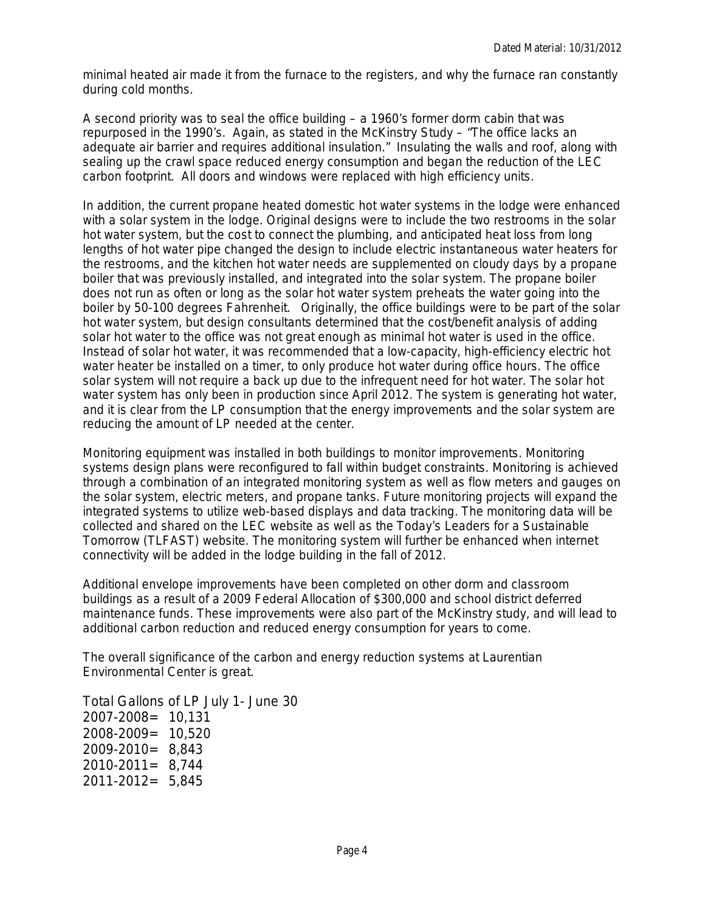minimal heated air made it from the furnace to the registers, and why the furnace ran constantly during cold months.

A second priority was to seal the office building  $-$  a 1960's former dorm cabin that was repurposed in the 1990's. Again, as stated in the McKinstry Study – "The office lacks an adequate air barrier and requires additional insulation." Insulating the walls and roof, along with sealing up the crawl space reduced energy consumption and began the reduction of the LEC carbon footprint. All doors and windows were replaced with high efficiency units.

In addition, the current propane heated domestic hot water systems in the lodge were enhanced with a solar system in the lodge. Original designs were to include the two restrooms in the solar hot water system, but the cost to connect the plumbing, and anticipated heat loss from long lengths of hot water pipe changed the design to include electric instantaneous water heaters for the restrooms, and the kitchen hot water needs are supplemented on cloudy days by a propane boiler that was previously installed, and integrated into the solar system. The propane boiler does not run as often or long as the solar hot water system preheats the water going into the boiler by 50-100 degrees Fahrenheit. Originally, the office buildings were to be part of the solar hot water system, but design consultants determined that the cost/benefit analysis of adding solar hot water to the office was not great enough as minimal hot water is used in the office. Instead of solar hot water, it was recommended that a low-capacity, high-efficiency electric hot water heater be installed on a timer, to only produce hot water during office hours. The office solar system will not require a back up due to the infrequent need for hot water. The solar hot water system has only been in production since April 2012. The system is generating hot water, and it is clear from the LP consumption that the energy improvements and the solar system are reducing the amount of LP needed at the center.

Monitoring equipment was installed in both buildings to monitor improvements. Monitoring systems design plans were reconfigured to fall within budget constraints. Monitoring is achieved through a combination of an integrated monitoring system as well as flow meters and gauges on the solar system, electric meters, and propane tanks. Future monitoring projects will expand the integrated systems to utilize web-based displays and data tracking. The monitoring data will be collected and shared on the LEC website as well as the Today's Leaders for a Sustainable Tomorrow (TLFAST) website. The monitoring system will further be enhanced when internet connectivity will be added in the lodge building in the fall of 2012.

Additional envelope improvements have been completed on other dorm and classroom buildings as a result of a 2009 Federal Allocation of \$300,000 and school district deferred maintenance funds. These improvements were also part of the McKinstry study, and will lead to additional carbon reduction and reduced energy consumption for years to come.

The overall significance of the carbon and energy reduction systems at Laurentian Environmental Center is great.

Total Gallons of LP July 1- June 30 2007-2008= 10,131 2008-2009= 10,520 2009-2010= 8,843 2010-2011= 8,744 2011-2012= 5,845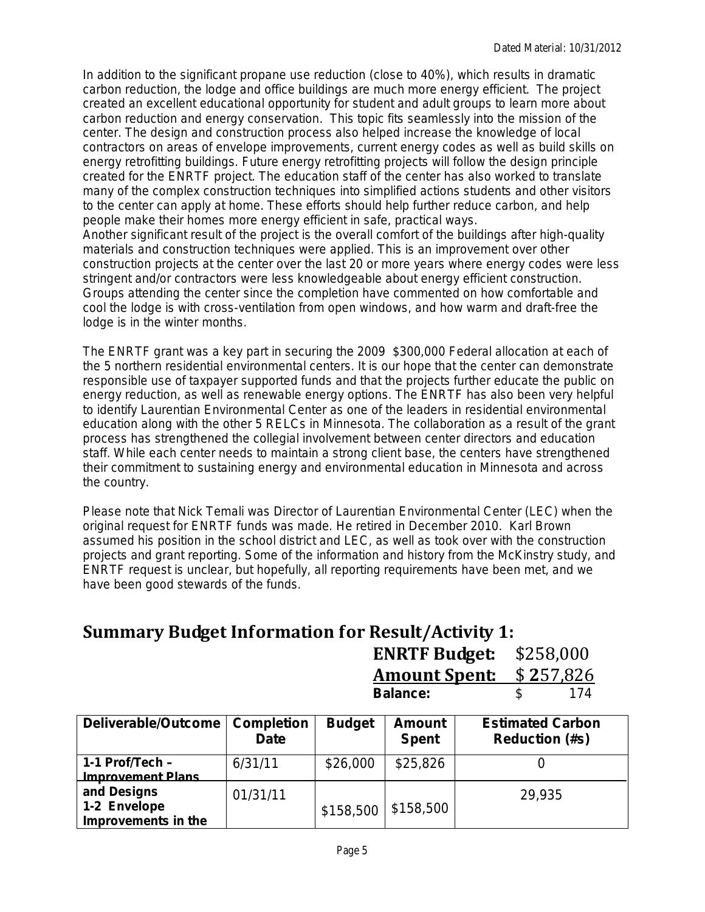In addition to the significant propane use reduction (close to 40%), which results in dramatic carbon reduction, the lodge and office buildings are much more energy efficient. The project created an excellent educational opportunity for student and adult groups to learn more about carbon reduction and energy conservation. This topic fits seamlessly into the mission of the center. The design and construction process also helped increase the knowledge of local contractors on areas of envelope improvements, current energy codes as well as build skills on energy retrofitting buildings. Future energy retrofitting projects will follow the design principle created for the ENRTF project. The education staff of the center has also worked to translate many of the complex construction techniques into simplified actions students and other visitors to the center can apply at home. These efforts should help further reduce carbon, and help people make their homes more energy efficient in safe, practical ways.

Another significant result of the project is the overall comfort of the buildings after high-quality materials and construction techniques were applied. This is an improvement over other construction projects at the center over the last 20 or more years where energy codes were less stringent and/or contractors were less knowledgeable about energy efficient construction. Groups attending the center since the completion have commented on how comfortable and cool the lodge is with cross-ventilation from open windows, and how warm and draft-free the lodge is in the winter months.

The ENRTF grant was a key part in securing the 2009 \$300,000 Federal allocation at each of the 5 northern residential environmental centers. It is our hope that the center can demonstrate responsible use of taxpayer supported funds and that the projects further educate the public on energy reduction, as well as renewable energy options. The ENRTF has also been very helpful to identify Laurentian Environmental Center as one of the leaders in residential environmental education along with the other 5 RELCs in Minnesota. The collaboration as a result of the grant process has strengthened the collegial involvement between center directors and education staff. While each center needs to maintain a strong client base, the centers have strengthened their commitment to sustaining energy and environmental education in Minnesota and across the country.

Please note that Nick Temali was Director of Laurentian Environmental Center (LEC) when the original request for ENRTF funds was made. He retired in December 2010. Karl Brown assumed his position in the school district and LEC, as well as took over with the construction projects and grant reporting. Some of the information and history from the McKinstry study, and ENRTF request is unclear, but hopefully, all reporting requirements have been met, and we have been good stewards of the funds.

# **Summary Budget Information for Result/Activity 1:**

**ENRTF Budget:** \$258,000 **Amount Spent:** \$ **2**57,826 **Balance:** 

| Deliverable/Outcome                                | <b>Completion</b><br><b>Date</b> | <b>Budget</b> | <b>Amount</b><br><b>Spent</b> | <b>Estimated Carbon</b><br><b>Reduction (#s)</b> |
|----------------------------------------------------|----------------------------------|---------------|-------------------------------|--------------------------------------------------|
| 1-1 $Profit/Techn$ -<br><b>Improvement Plans</b>   | 6/31/11                          | \$26,000      | \$25,826                      |                                                  |
| and Designs<br>1-2 Envelope<br>Improvements in the | 01/31/11                         | \$158,500     | \$158,500                     | 29,935                                           |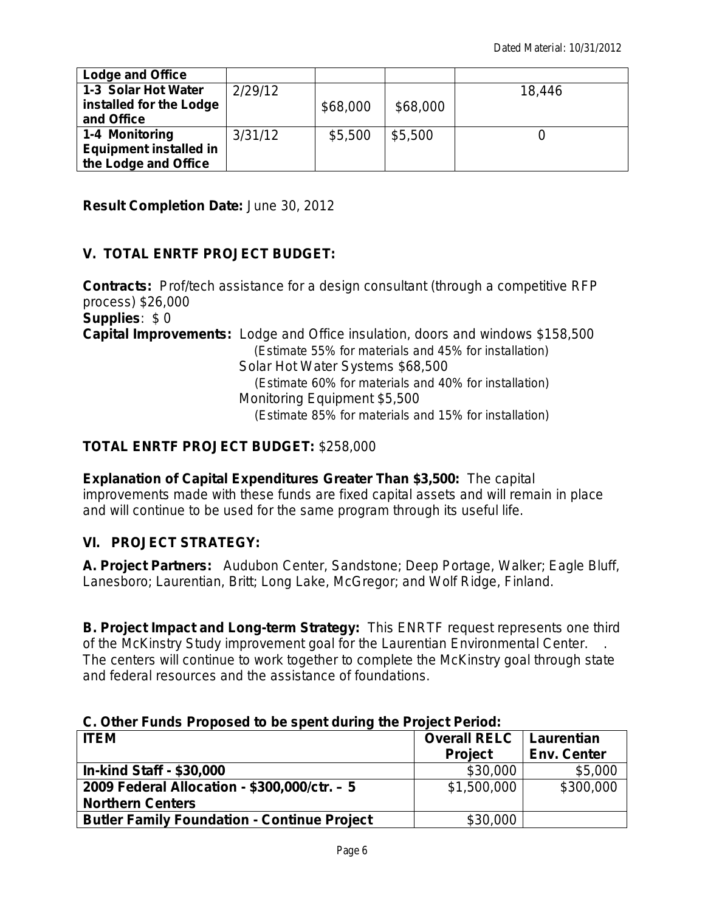| <b>Lodge and Office</b>       |         |          |          |        |
|-------------------------------|---------|----------|----------|--------|
| 1-3 Solar Hot Water           | 2/29/12 |          |          | 18,446 |
| installed for the Lodge       |         | \$68,000 | \$68,000 |        |
| and Office                    |         |          |          |        |
| 1-4 Monitoring                | 3/31/12 | \$5,500  | \$5,500  |        |
| <b>Equipment installed in</b> |         |          |          |        |
| the Lodge and Office          |         |          |          |        |

**Result Completion Date:** *June 30, 2012*

# **V. TOTAL ENRTF PROJECT BUDGET:**

**Contracts:** Prof/tech assistance for a design consultant (through a competitive RFP process) \$26,000 **Supplies**: \$ 0 **Capital Improvements:** Lodge and Office insulation, doors and windows \$158,500 *(Estimate 55% for materials and 45% for installation)* Solar Hot Water Systems \$68,500 *(Estimate 60% for materials and 40% for installation)* Monitoring Equipment \$5,500 *(Estimate 85% for materials and 15% for installation)*

## **TOTAL ENRTF PROJECT BUDGET:** \$258,000

**Explanation of Capital Expenditures Greater Than \$3,500:** The capital improvements made with these funds are fixed capital assets and will remain in place and will continue to be used for the same program through its useful life.

## **VI. PROJECT STRATEGY:**

**A. Project Partners:** Audubon Center, Sandstone; Deep Portage, Walker; Eagle Bluff, Lanesboro; Laurentian, Britt; Long Lake, McGregor; and Wolf Ridge, Finland.

**B. Project Impact and Long-term Strategy:** This ENRTF request represents one third of the McKinstry Study improvement goal for the Laurentian Environmental Center. . The centers will continue to work together to complete the McKinstry goal through state and federal resources and the assistance of foundations.

### **C. Other Funds Proposed to be spent during the Project Period:**

| <b>ITEM</b>                                        | <b>Overall RELC</b> | Laurentian         |  |
|----------------------------------------------------|---------------------|--------------------|--|
|                                                    | <b>Project</b>      | <b>Env. Center</b> |  |
| <b>In-kind Staff - \$30,000</b>                    | \$30,000            | \$5,000            |  |
| 2009 Federal Allocation - \$300,000/ctr. - 5       | \$1,500,000         | \$300,000          |  |
| <b>Northern Centers</b>                            |                     |                    |  |
| <b>Butler Family Foundation - Continue Project</b> | \$30,000            |                    |  |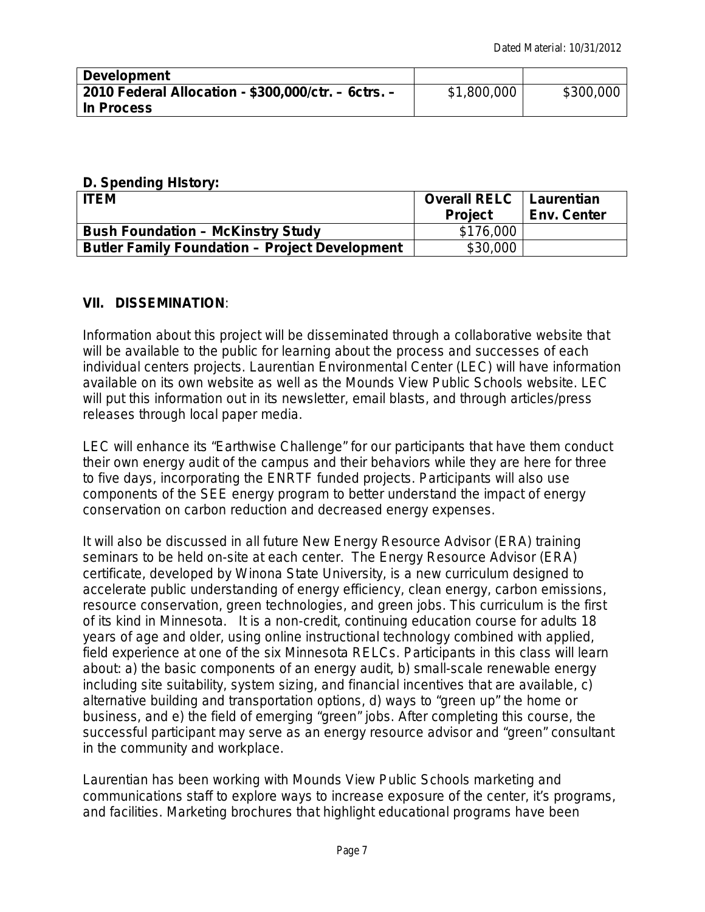| <b>Development</b>                                  |             |           |
|-----------------------------------------------------|-------------|-----------|
| 2010 Federal Allocation - \$300,000/ctr. - 6ctrs. - | \$1,800,000 | \$300,000 |
| In Process                                          |             |           |

## **D. Spending HIstory:**

| <b>ITEM</b>                                           | <b>Overall RELC</b>   Laurentian<br><b>Project</b> | <b>Env. Center</b> |
|-------------------------------------------------------|----------------------------------------------------|--------------------|
| <b>Bush Foundation - McKinstry Study</b>              | \$176,000                                          |                    |
| <b>Butler Family Foundation - Project Development</b> | \$30,000                                           |                    |

# **VII. DISSEMINATION**:

Information about this project will be disseminated through a collaborative website that will be available to the public for learning about the process and successes of each individual centers projects. Laurentian Environmental Center (LEC) will have information available on its own website as well as the Mounds View Public Schools website. LEC will put this information out in its newsletter, email blasts, and through articles/press releases through local paper media.

LEC will enhance its "Earthwise Challenge" for our participants that have them conduct their own energy audit of the campus and their behaviors while they are here for three to five days, incorporating the ENRTF funded projects. Participants will also use components of the SEE energy program to better understand the impact of energy conservation on carbon reduction and decreased energy expenses.

It will also be discussed in all future New Energy Resource Advisor (ERA) training seminars to be held on-site at each center. The Energy Resource Advisor (ERA) certificate, developed by Winona State University, is a new curriculum designed to accelerate public understanding of energy efficiency, clean energy, carbon emissions, resource conservation, green technologies, and green jobs. This curriculum is the *first of its kind in Minnesota*. It is a non-credit, continuing education course for adults 18 years of age and older, *using online instructional technology combined with applied, field experience at one of the six Minnesota RELCs*. Participants in this class will learn about: a) the basic components of an energy audit, b) small-scale renewable energy including site suitability, system sizing, and financial incentives that are available, c) alternative building and transportation options, d) ways to "green up" the home or business, and e) the field of emerging "green" jobs. After completing this course, the successful participant may serve as an energy resource advisor and "green" consultant in the community and workplace.

Laurentian has been working with Mounds View Public Schools marketing and communications staff to explore ways to increase exposure of the center, it's programs, and facilities. Marketing brochures that highlight educational programs have been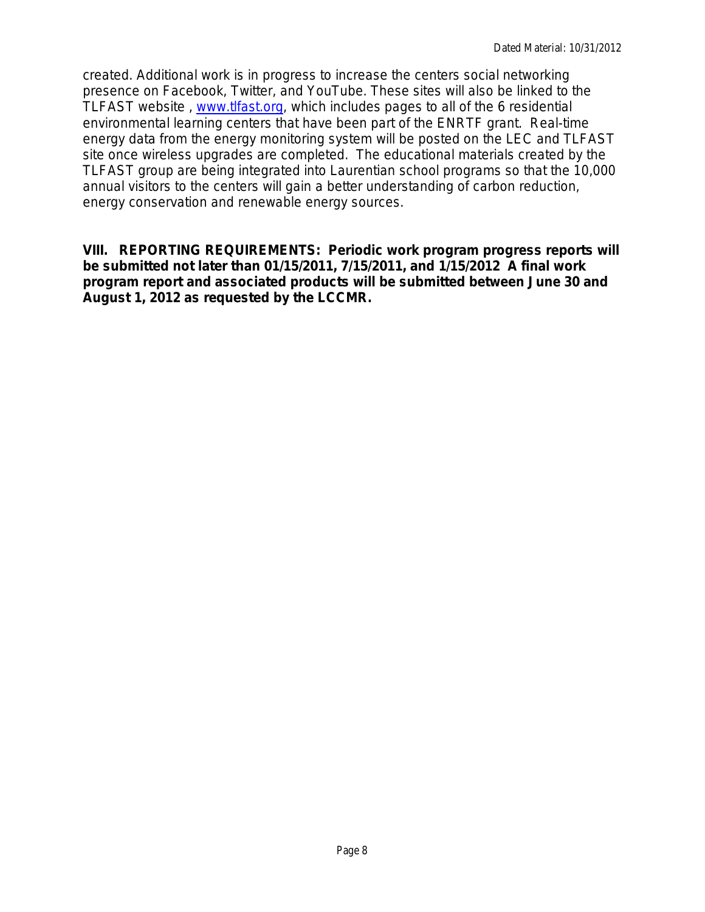created. Additional work is in progress to increase the centers social networking presence on Facebook, Twitter, and YouTube. These sites will also be linked to the TLFAST website , [www.tlfast.org,](http://www.tlfast.org/) which includes pages to all of the 6 residential environmental learning centers that have been part of the ENRTF grant. Real-time energy data from the energy monitoring system will be posted on the LEC and TLFAST site once wireless upgrades are completed. The educational materials created by the TLFAST group are being integrated into Laurentian school programs so that the 10,000 annual visitors to the centers will gain a better understanding of carbon reduction, energy conservation and renewable energy sources.

## **VIII. REPORTING REQUIREMENTS: Periodic work program progress reports will be submitted not later than 01/15/2011, 7/15/2011, and 1/15/2012 A final work program report and associated products will be submitted between June 30 and August 1, 2012 as requested by the LCCMR.**